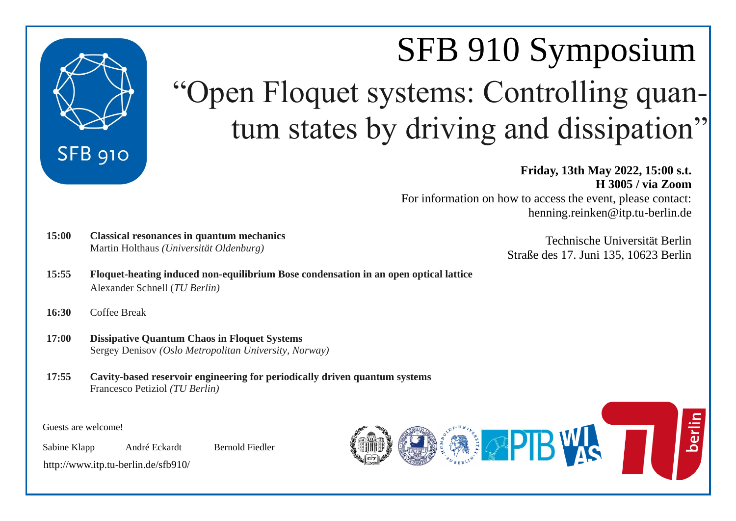

# SFB 910 Symposium "Open Floquet systems: Controlling quantum states by driving and dissipation"

**Friday, 13th May 2022, 15:00 s.t. H 3005 / via Zoom** For information on how to access the event, please contact: henning.reinken@itp.tu-berlin.de

- **15:00 Classical resonances in quantum mechanics** Martin Holthaus *(Universität Oldenburg)*
- **15:55 Floquet-heating induced non-equilibrium Bose condensation in an open optical lattice** Alexander Schnell (*TU Berlin)*
- **16:30** Coffee Break
- **17:00 Dissipative Quantum Chaos in Floquet Systems** Sergey Denisov *(Oslo Metropolitan University, Norway)*
- **17:55 Cavity-based reservoir engineering for periodically driven quantum systems** Francesco Petiziol *(TU Berlin)*

Guests are welcome!

Sabine Klapp André Eckardt Bernold Fiedler

<http://www.itp.tu-berlin.de/sfb910/>



Technische Universität Berlin Straße des 17. Juni 135, 10623 Berlin

berlin